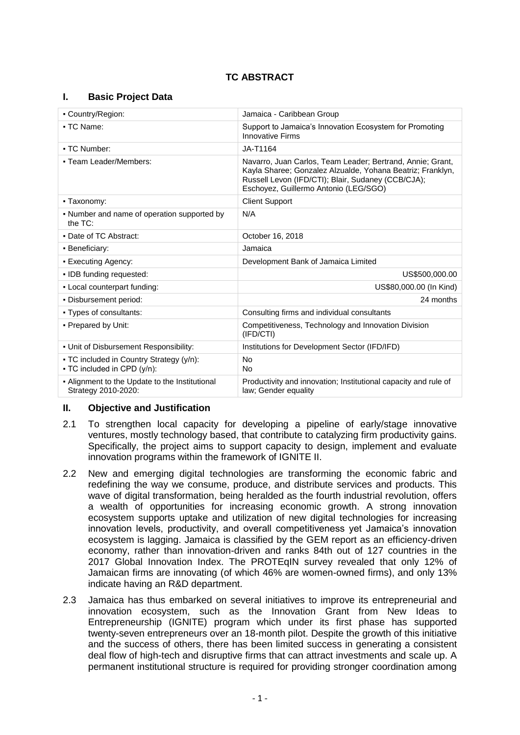# **TC ABSTRACT**

### **I. Basic Project Data**

| • Country/Region:                                                       | Jamaica - Caribbean Group                                                                                                                                                                                               |  |
|-------------------------------------------------------------------------|-------------------------------------------------------------------------------------------------------------------------------------------------------------------------------------------------------------------------|--|
| • TC Name:                                                              | Support to Jamaica's Innovation Ecosystem for Promoting<br><b>Innovative Firms</b>                                                                                                                                      |  |
| • TC Number:                                                            | JA-T1164                                                                                                                                                                                                                |  |
| - Team Leader/Members:                                                  | Navarro, Juan Carlos, Team Leader; Bertrand, Annie; Grant,<br>Kayla Sharee; Gonzalez Alzualde, Yohana Beatriz; Franklyn,<br>Russell Levon (IFD/CTI); Blair, Sudaney (CCB/CJA);<br>Eschoyez, Guillermo Antonio (LEG/SGO) |  |
| • Taxonomy:                                                             | <b>Client Support</b>                                                                                                                                                                                                   |  |
| • Number and name of operation supported by<br>the $TC$ :               | N/A                                                                                                                                                                                                                     |  |
| • Date of TC Abstract:                                                  | October 16, 2018                                                                                                                                                                                                        |  |
| · Beneficiary:                                                          | Jamaica                                                                                                                                                                                                                 |  |
| • Executing Agency:                                                     | Development Bank of Jamaica Limited                                                                                                                                                                                     |  |
| · IDB funding requested:                                                | US\$500,000.00                                                                                                                                                                                                          |  |
| - Local counterpart funding:                                            | US\$80,000.00 (In Kind)                                                                                                                                                                                                 |  |
| . Disbursement period:                                                  | 24 months                                                                                                                                                                                                               |  |
| • Types of consultants:                                                 | Consulting firms and individual consultants                                                                                                                                                                             |  |
| • Prepared by Unit:                                                     | Competitiveness, Technology and Innovation Division<br>(IFD/CTI)                                                                                                                                                        |  |
| . Unit of Disbursement Responsibility:                                  | Institutions for Development Sector (IFD/IFD)                                                                                                                                                                           |  |
| - TC included in Country Strategy (y/n):<br>• TC included in CPD (y/n): | No<br><b>No</b>                                                                                                                                                                                                         |  |
| - Alignment to the Update to the Institutional<br>Strategy 2010-2020:   | Productivity and innovation; Institutional capacity and rule of<br>law; Gender equality                                                                                                                                 |  |

### **II. Objective and Justification**

- 2.1 To strengthen local capacity for developing a pipeline of early/stage innovative ventures, mostly technology based, that contribute to catalyzing firm productivity gains. Specifically, the project aims to support capacity to design, implement and evaluate innovation programs within the framework of IGNITE II.
- 2.2 New and emerging digital technologies are transforming the economic fabric and redefining the way we consume, produce, and distribute services and products. This wave of digital transformation, being heralded as the fourth industrial revolution, offers a wealth of opportunities for increasing economic growth. A strong innovation ecosystem supports uptake and utilization of new digital technologies for increasing innovation levels, productivity, and overall competitiveness yet Jamaica's innovation ecosystem is lagging. Jamaica is classified by the GEM report as an efficiency-driven economy, rather than innovation-driven and ranks 84th out of 127 countries in the 2017 Global Innovation Index. The PROTEqIN survey revealed that only 12% of Jamaican firms are innovating (of which 46% are women-owned firms), and only 13% indicate having an R&D department.
- 2.3 Jamaica has thus embarked on several initiatives to improve its entrepreneurial and innovation ecosystem, such as the Innovation Grant from New Ideas to Entrepreneurship (IGNITE) program which under its first phase has supported twenty-seven entrepreneurs over an 18-month pilot. Despite the growth of this initiative and the success of others, there has been limited success in generating a consistent deal flow of high-tech and disruptive firms that can attract investments and scale up. A permanent institutional structure is required for providing stronger coordination among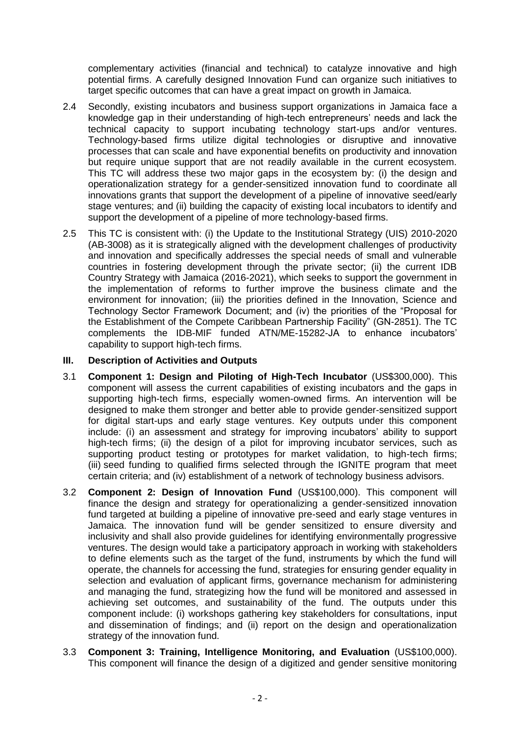complementary activities (financial and technical) to catalyze innovative and high potential firms. A carefully designed Innovation Fund can organize such initiatives to target specific outcomes that can have a great impact on growth in Jamaica.

- 2.4 Secondly, existing incubators and business support organizations in Jamaica face a knowledge gap in their understanding of high-tech entrepreneurs' needs and lack the technical capacity to support incubating technology start-ups and/or ventures. Technology-based firms utilize digital technologies or disruptive and innovative processes that can scale and have exponential benefits on productivity and innovation but require unique support that are not readily available in the current ecosystem. This TC will address these two major gaps in the ecosystem by: (i) the design and operationalization strategy for a gender-sensitized innovation fund to coordinate all innovations grants that support the development of a pipeline of innovative seed/early stage ventures; and (ii) building the capacity of existing local incubators to identify and support the development of a pipeline of more technology-based firms.
- 2.5 This TC is consistent with: (i) the Update to the Institutional Strategy (UIS) 2010-2020 (AB-3008) as it is strategically aligned with the development challenges of productivity and innovation and specifically addresses the special needs of small and vulnerable countries in fostering development through the private sector; (ii) the current IDB Country Strategy with Jamaica (2016-2021), which seeks to support the government in the implementation of reforms to further improve the business climate and the environment for innovation; (iii) the priorities defined in the Innovation, Science and Technology Sector Framework Document; and (iv) the priorities of the "Proposal for the Establishment of the Compete Caribbean Partnership Facility" (GN-2851). The TC complements the IDB-MIF funded ATN/ME-15282-JA to enhance incubators' capability to support high-tech firms.

## **III. Description of Activities and Outputs**

- 3.1 **Component 1: Design and Piloting of High-Tech Incubator** (US\$300,000). This component will assess the current capabilities of existing incubators and the gaps in supporting high-tech firms, especially women-owned firms. An intervention will be designed to make them stronger and better able to provide gender-sensitized support for digital start-ups and early stage ventures. Key outputs under this component include: (i) an assessment and strategy for improving incubators' ability to support high-tech firms; (ii) the design of a pilot for improving incubator services, such as supporting product testing or prototypes for market validation, to high-tech firms; (iii) seed funding to qualified firms selected through the IGNITE program that meet certain criteria; and (iv) establishment of a network of technology business advisors.
- 3.2 **Component 2: Design of Innovation Fund** (US\$100,000). This component will finance the design and strategy for operationalizing a gender-sensitized innovation fund targeted at building a pipeline of innovative pre-seed and early stage ventures in Jamaica. The innovation fund will be gender sensitized to ensure diversity and inclusivity and shall also provide guidelines for identifying environmentally progressive ventures. The design would take a participatory approach in working with stakeholders to define elements such as the target of the fund, instruments by which the fund will operate, the channels for accessing the fund, strategies for ensuring gender equality in selection and evaluation of applicant firms, governance mechanism for administering and managing the fund, strategizing how the fund will be monitored and assessed in achieving set outcomes, and sustainability of the fund. The outputs under this component include: (i) workshops gathering key stakeholders for consultations, input and dissemination of findings; and (ii) report on the design and operationalization strategy of the innovation fund.
- 3.3 **Component 3: Training, Intelligence Monitoring, and Evaluation** (US\$100,000). This component will finance the design of a digitized and gender sensitive monitoring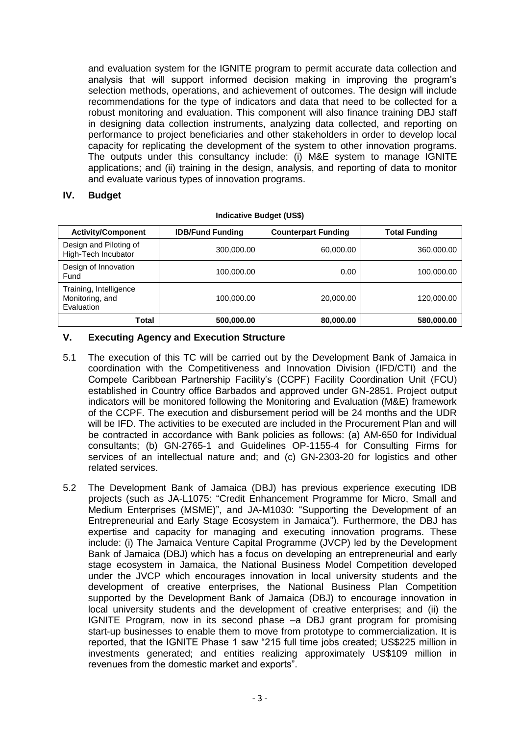and evaluation system for the IGNITE program to permit accurate data collection and analysis that will support informed decision making in improving the program's selection methods, operations, and achievement of outcomes. The design will include recommendations for the type of indicators and data that need to be collected for a robust monitoring and evaluation. This component will also finance training DBJ staff in designing data collection instruments, analyzing data collected, and reporting on performance to project beneficiaries and other stakeholders in order to develop local capacity for replicating the development of the system to other innovation programs. The outputs under this consultancy include: (i) M&E system to manage IGNITE applications; and (ii) training in the design, analysis, and reporting of data to monitor and evaluate various types of innovation programs.

### **IV. Budget**

| <b>Activity/Component</b>                               | <b>IDB/Fund Funding</b> | <b>Counterpart Funding</b> | <b>Total Funding</b> |
|---------------------------------------------------------|-------------------------|----------------------------|----------------------|
| Design and Piloting of<br>High-Tech Incubator           | 300,000.00              | 60,000.00                  | 360,000.00           |
| Design of Innovation<br>Fund                            | 100,000.00              | 0.00                       | 100,000.00           |
| Training, Intelligence<br>Monitoring, and<br>Evaluation | 100,000.00              | 20,000.00                  | 120,000.00           |
| Total                                                   | 500,000.00              | 80,000.00                  | 580,000.00           |

#### **Indicative Budget (US\$)**

## **V. Executing Agency and Execution Structure**

- 5.1 The execution of this TC will be carried out by the Development Bank of Jamaica in coordination with the Competitiveness and Innovation Division (IFD/CTI) and the Compete Caribbean Partnership Facility's (CCPF) Facility Coordination Unit (FCU) established in Country office Barbados and approved under GN-2851. Project output indicators will be monitored following the Monitoring and Evaluation (M&E) framework of the CCPF. The execution and disbursement period will be 24 months and the UDR will be IFD. The activities to be executed are included in the Procurement Plan and will be contracted in accordance with Bank policies as follows: (a) AM-650 for Individual consultants; (b) GN-2765-1 and Guidelines OP-1155-4 for Consulting Firms for services of an intellectual nature and; and (c) GN-2303-20 for logistics and other related services.
- 5.2 The Development Bank of Jamaica (DBJ) has previous experience executing IDB projects (such as JA-L1075: "Credit Enhancement Programme for Micro, Small and Medium Enterprises (MSME)", and JA-M1030: "Supporting the Development of an Entrepreneurial and Early Stage Ecosystem in Jamaica"). Furthermore, the DBJ has expertise and capacity for managing and executing innovation programs. These include: (i) The Jamaica Venture Capital Programme (JVCP) led by the Development Bank of Jamaica (DBJ) which has a focus on developing an entrepreneurial and early stage ecosystem in Jamaica, the National Business Model Competition developed under the JVCP which encourages innovation in local university students and the development of creative enterprises, the National Business Plan Competition supported by the Development Bank of Jamaica (DBJ) to encourage innovation in local university students and the development of creative enterprises; and (ii) the IGNITE Program, now in its second phase –a DBJ grant program for promising start-up businesses to enable them to move from prototype to commercialization. It is reported, that the IGNITE Phase 1 saw "215 full time jobs created; US\$225 million in investments generated; and entities realizing approximately US\$109 million in revenues from the domestic market and exports".